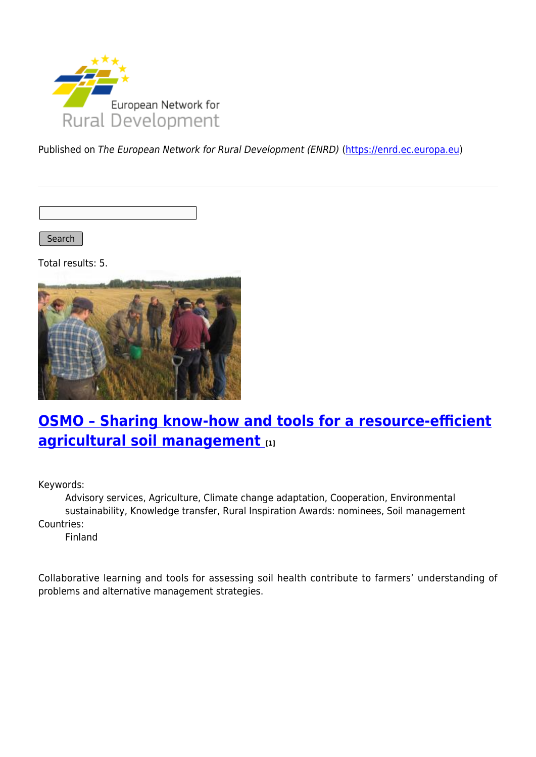

Published on The European Network for Rural Development (ENRD) [\(https://enrd.ec.europa.eu](https://enrd.ec.europa.eu))

Search |

Total results: 5.



# **[OSMO – Sharing know-how and tools for a resource-efficient](https://enrd.ec.europa.eu/projects-practice/osmo-sharing-know-how-and-tools-resource-efficient-agricultural-soil-management_en) [agricultural soil management](https://enrd.ec.europa.eu/projects-practice/osmo-sharing-know-how-and-tools-resource-efficient-agricultural-soil-management_en) [1]**

Keywords:

Advisory services, Agriculture, Climate change adaptation, Cooperation, Environmental sustainability, Knowledge transfer, Rural Inspiration Awards: nominees, Soil management Countries:

Finland

Collaborative learning and tools for assessing soil health contribute to farmers' understanding of problems and alternative management strategies.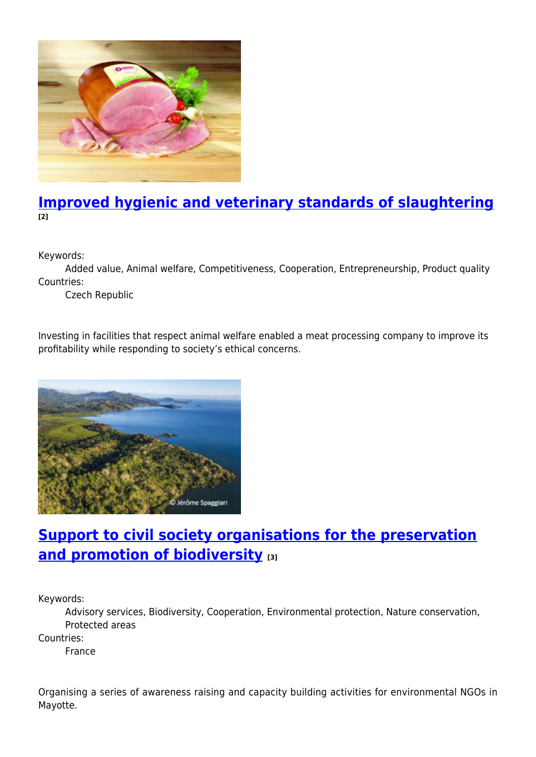

#### **[Improved hygienic and veterinary standards of slaughtering](https://enrd.ec.europa.eu/projects-practice/improved-hygienic-and-veterinary-standards-slaughtering_en) [2]**

Keywords:

Added value, Animal welfare, Competitiveness, Cooperation, Entrepreneurship, Product quality Countries:

Czech Republic

Investing in facilities that respect animal welfare enabled a meat processing company to improve its profitability while responding to society's ethical concerns.



### **[Support to civil society organisations for the preservation](https://enrd.ec.europa.eu/projects-practice/support-civil-society-organisations-preservation-and-promotion-biodiversity_en) [and promotion of biodiversity](https://enrd.ec.europa.eu/projects-practice/support-civil-society-organisations-preservation-and-promotion-biodiversity_en) [3]**

Keywords:

Advisory services, Biodiversity, Cooperation, Environmental protection, Nature conservation, Protected areas

Countries:

France

Organising a series of awareness raising and capacity building activities for environmental NGOs in Mayotte.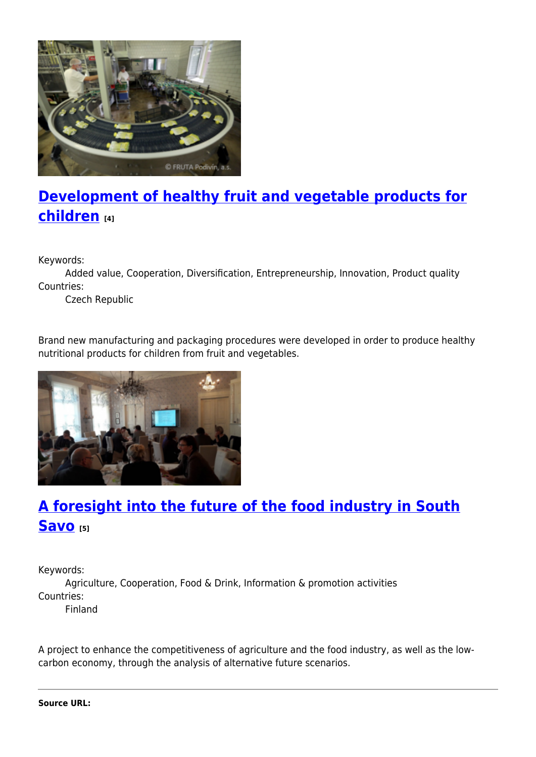

## **[Development of healthy fruit and vegetable products for](https://enrd.ec.europa.eu/projects-practice/development-healthy-fruit-and-vegetable-products-children_en) [children](https://enrd.ec.europa.eu/projects-practice/development-healthy-fruit-and-vegetable-products-children_en) [4]**

Keywords:

Added value, Cooperation, Diversification, Entrepreneurship, Innovation, Product quality Countries:

Czech Republic

Brand new manufacturing and packaging procedures were developed in order to produce healthy nutritional products for children from fruit and vegetables.



## **[A foresight into the future of the food industry in South](https://enrd.ec.europa.eu/projects-practice/foresight-future-food-industry-south-savo_en) [Savo](https://enrd.ec.europa.eu/projects-practice/foresight-future-food-industry-south-savo_en) [5]**

Keywords:

Agriculture, Cooperation, Food & Drink, Information & promotion activities Countries:

Finland

A project to enhance the competitiveness of agriculture and the food industry, as well as the lowcarbon economy, through the analysis of alternative future scenarios.